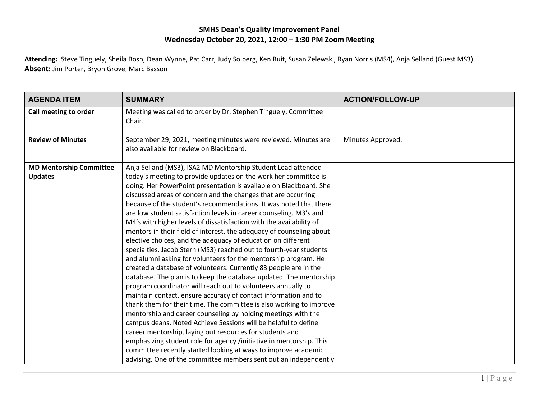## **SMHS Dean's Quality Improvement Panel Wednesday October 20, 2021, 12:00 – 1:30 PM Zoom Meeting**

**Attending:** Steve Tinguely, Sheila Bosh, Dean Wynne, Pat Carr, Judy Solberg, Ken Ruit, Susan Zelewski, Ryan Norris (MS4), Anja Selland (Guest MS3) **Absent:** Jim Porter, Bryon Grove, Marc Basson

| Meeting was called to order by Dr. Stephen Tinguely, Committee<br>Call meeting to order<br>Chair.<br><b>Review of Minutes</b><br>Minutes Approved.                                                                                                                                                                                                                                                                                                                                                                                                                                                                                                                                                                                                                                                                                                                                                                                                                                                                                                                                                                                                                                                                                                                                                                                                                                                                                                                                                                                                                                            |                                                                |  |
|-----------------------------------------------------------------------------------------------------------------------------------------------------------------------------------------------------------------------------------------------------------------------------------------------------------------------------------------------------------------------------------------------------------------------------------------------------------------------------------------------------------------------------------------------------------------------------------------------------------------------------------------------------------------------------------------------------------------------------------------------------------------------------------------------------------------------------------------------------------------------------------------------------------------------------------------------------------------------------------------------------------------------------------------------------------------------------------------------------------------------------------------------------------------------------------------------------------------------------------------------------------------------------------------------------------------------------------------------------------------------------------------------------------------------------------------------------------------------------------------------------------------------------------------------------------------------------------------------|----------------------------------------------------------------|--|
|                                                                                                                                                                                                                                                                                                                                                                                                                                                                                                                                                                                                                                                                                                                                                                                                                                                                                                                                                                                                                                                                                                                                                                                                                                                                                                                                                                                                                                                                                                                                                                                               |                                                                |  |
| also available for review on Blackboard.                                                                                                                                                                                                                                                                                                                                                                                                                                                                                                                                                                                                                                                                                                                                                                                                                                                                                                                                                                                                                                                                                                                                                                                                                                                                                                                                                                                                                                                                                                                                                      | September 29, 2021, meeting minutes were reviewed. Minutes are |  |
| Anja Selland (MS3), ISA2 MD Mentorship Student Lead attended<br><b>MD Mentorship Committee</b><br>today's meeting to provide updates on the work her committee is<br><b>Updates</b><br>doing. Her PowerPoint presentation is available on Blackboard. She<br>discussed areas of concern and the changes that are occurring<br>because of the student's recommendations. It was noted that there<br>are low student satisfaction levels in career counseling. M3's and<br>M4's with higher levels of dissatisfaction with the availability of<br>mentors in their field of interest, the adequacy of counseling about<br>elective choices, and the adequacy of education on different<br>specialties. Jacob Stern (MS3) reached out to fourth-year students<br>and alumni asking for volunteers for the mentorship program. He<br>created a database of volunteers. Currently 83 people are in the<br>database. The plan is to keep the database updated. The mentorship<br>program coordinator will reach out to volunteers annually to<br>maintain contact, ensure accuracy of contact information and to<br>thank them for their time. The committee is also working to improve<br>mentorship and career counseling by holding meetings with the<br>campus deans. Noted Achieve Sessions will be helpful to define<br>career mentorship, laying out resources for students and<br>emphasizing student role for agency /initiative in mentorship. This<br>committee recently started looking at ways to improve academic<br>advising. One of the committee members sent out an independently |                                                                |  |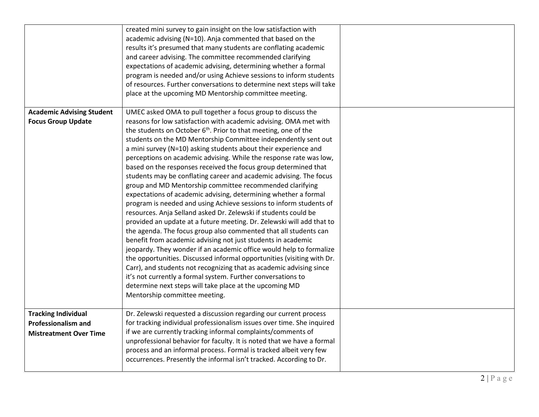|                                                                                           | created mini survey to gain insight on the low satisfaction with<br>academic advising (N=10). Anja commented that based on the<br>results it's presumed that many students are conflating academic<br>and career advising. The committee recommended clarifying<br>expectations of academic advising, determining whether a formal<br>program is needed and/or using Achieve sessions to inform students<br>of resources. Further conversations to determine next steps will take<br>place at the upcoming MD Mentorship committee meeting.                                                                                                                                                                                                                                                                                                                                                                                                                                                                                                                                                                                                                                                                                                                                                                                                                                                                                                   |  |
|-------------------------------------------------------------------------------------------|-----------------------------------------------------------------------------------------------------------------------------------------------------------------------------------------------------------------------------------------------------------------------------------------------------------------------------------------------------------------------------------------------------------------------------------------------------------------------------------------------------------------------------------------------------------------------------------------------------------------------------------------------------------------------------------------------------------------------------------------------------------------------------------------------------------------------------------------------------------------------------------------------------------------------------------------------------------------------------------------------------------------------------------------------------------------------------------------------------------------------------------------------------------------------------------------------------------------------------------------------------------------------------------------------------------------------------------------------------------------------------------------------------------------------------------------------|--|
| <b>Academic Advising Student</b><br><b>Focus Group Update</b>                             | UMEC asked OMA to pull together a focus group to discuss the<br>reasons for low satisfaction with academic advising. OMA met with<br>the students on October 6 <sup>th</sup> . Prior to that meeting, one of the<br>students on the MD Mentorship Committee independently sent out<br>a mini survey (N=10) asking students about their experience and<br>perceptions on academic advising. While the response rate was low,<br>based on the responses received the focus group determined that<br>students may be conflating career and academic advising. The focus<br>group and MD Mentorship committee recommended clarifying<br>expectations of academic advising, determining whether a formal<br>program is needed and using Achieve sessions to inform students of<br>resources. Anja Selland asked Dr. Zelewski if students could be<br>provided an update at a future meeting. Dr. Zelewski will add that to<br>the agenda. The focus group also commented that all students can<br>benefit from academic advising not just students in academic<br>jeopardy. They wonder if an academic office would help to formalize<br>the opportunities. Discussed informal opportunities (visiting with Dr.<br>Carr), and students not recognizing that as academic advising since<br>it's not currently a formal system. Further conversations to<br>determine next steps will take place at the upcoming MD<br>Mentorship committee meeting. |  |
| <b>Tracking Individual</b><br><b>Professionalism and</b><br><b>Mistreatment Over Time</b> | Dr. Zelewski requested a discussion regarding our current process<br>for tracking individual professionalism issues over time. She inquired<br>if we are currently tracking informal complaints/comments of<br>unprofessional behavior for faculty. It is noted that we have a formal<br>process and an informal process. Formal is tracked albeit very few<br>occurrences. Presently the informal isn't tracked. According to Dr.                                                                                                                                                                                                                                                                                                                                                                                                                                                                                                                                                                                                                                                                                                                                                                                                                                                                                                                                                                                                            |  |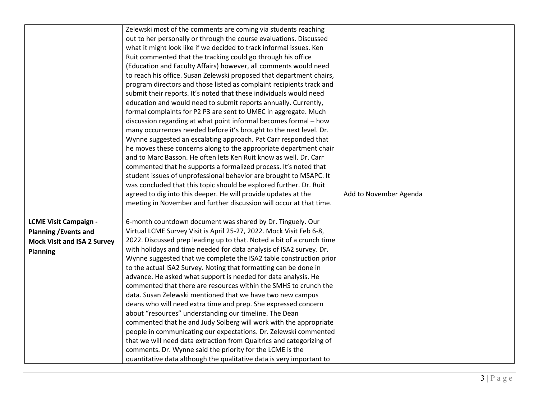|                                    | Zelewski most of the comments are coming via students reaching        |                        |
|------------------------------------|-----------------------------------------------------------------------|------------------------|
|                                    | out to her personally or through the course evaluations. Discussed    |                        |
|                                    | what it might look like if we decided to track informal issues. Ken   |                        |
|                                    | Ruit commented that the tracking could go through his office          |                        |
|                                    | (Education and Faculty Affairs) however, all comments would need      |                        |
|                                    | to reach his office. Susan Zelewski proposed that department chairs,  |                        |
|                                    | program directors and those listed as complaint recipients track and  |                        |
|                                    | submit their reports. It's noted that these individuals would need    |                        |
|                                    | education and would need to submit reports annually. Currently,       |                        |
|                                    | formal complaints for P2 P3 are sent to UMEC in aggregate. Much       |                        |
|                                    | discussion regarding at what point informal becomes formal - how      |                        |
|                                    | many occurrences needed before it's brought to the next level. Dr.    |                        |
|                                    | Wynne suggested an escalating approach. Pat Carr responded that       |                        |
|                                    | he moves these concerns along to the appropriate department chair     |                        |
|                                    | and to Marc Basson. He often lets Ken Ruit know as well. Dr. Carr     |                        |
|                                    | commented that he supports a formalized process. It's noted that      |                        |
|                                    | student issues of unprofessional behavior are brought to MSAPC. It    |                        |
|                                    | was concluded that this topic should be explored further. Dr. Ruit    |                        |
|                                    | agreed to dig into this deeper. He will provide updates at the        | Add to November Agenda |
|                                    | meeting in November and further discussion will occur at that time.   |                        |
|                                    |                                                                       |                        |
| <b>LCME Visit Campaign -</b>       | 6-month countdown document was shared by Dr. Tinguely. Our            |                        |
| <b>Planning / Events and</b>       | Virtual LCME Survey Visit is April 25-27, 2022. Mock Visit Feb 6-8,   |                        |
| <b>Mock Visit and ISA 2 Survey</b> | 2022. Discussed prep leading up to that. Noted a bit of a crunch time |                        |
| <b>Planning</b>                    | with holidays and time needed for data analysis of ISA2 survey. Dr.   |                        |
|                                    | Wynne suggested that we complete the ISA2 table construction prior    |                        |
|                                    | to the actual ISA2 Survey. Noting that formatting can be done in      |                        |
|                                    | advance. He asked what support is needed for data analysis. He        |                        |
|                                    | commented that there are resources within the SMHS to crunch the      |                        |
|                                    | data. Susan Zelewski mentioned that we have two new campus            |                        |
|                                    | deans who will need extra time and prep. She expressed concern        |                        |
|                                    | about "resources" understanding our timeline. The Dean                |                        |
|                                    | commented that he and Judy Solberg will work with the appropriate     |                        |
|                                    | people in communicating our expectations. Dr. Zelewski commented      |                        |
|                                    | that we will need data extraction from Qualtrics and categorizing of  |                        |
|                                    | comments. Dr. Wynne said the priority for the LCME is the             |                        |
|                                    | quantitative data although the qualitative data is very important to  |                        |